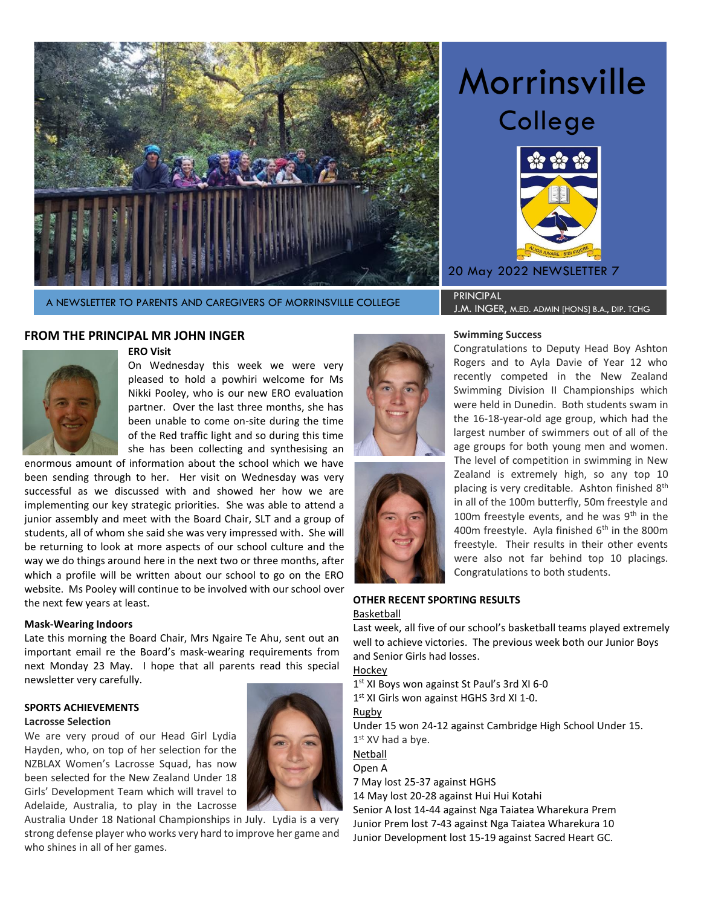

Morrinsville College



20 May 2022 NEWSLETTER 7

# A NEWSLETTER TO PARENTS AND CAREGIVERS OF MORRINSVILLE COLLEGE PRINCIPAL

J.M. INGER, m.ed. admin [hons] b.a., dip. tchg

# **FROM THE PRINCIPAL MR JOHN INGER**



**ERO Visit**

On Wednesday this week we were very pleased to hold a powhiri welcome for Ms Nikki Pooley, who is our new ERO evaluation partner. Over the last three months, she has been unable to come on-site during the time of the Red traffic light and so during this time she has been collecting and synthesising an

enormous amount of information about the school which we have been sending through to her. Her visit on Wednesday was very successful as we discussed with and showed her how we are implementing our key strategic priorities. She was able to attend a junior assembly and meet with the Board Chair, SLT and a group of students, all of whom she said she was very impressed with. She will be returning to look at more aspects of our school culture and the way we do things around here in the next two or three months, after which a profile will be written about our school to go on the ERO website. Ms Pooley will continue to be involved with our school over the next few years at least.

# **Mask-Wearing Indoors**

Late this morning the Board Chair, Mrs Ngaire Te Ahu, sent out an important email re the Board's mask-wearing requirements from next Monday 23 May. I hope that all parents read this special newsletter very carefully.

# **SPORTS ACHIEVEMENTS**

### **Lacrosse Selection**

We are very proud of our Head Girl Lydia Hayden, who, on top of her selection for the NZBLAX Women's Lacrosse Squad, has now been selected for the New Zealand Under 18 Girls' Development Team which will travel to Adelaide, Australia, to play in the Lacrosse

Australia Under 18 National Championships in July. Lydia is a very strong defense player who works very hard to improve her game and who shines in all of her games.





### **Swimming Success**

Congratulations to Deputy Head Boy Ashton Rogers and to Ayla Davie of Year 12 who recently competed in the New Zealand Swimming Division II Championships which were held in Dunedin. Both students swam in the 16-18-year-old age group, which had the largest number of swimmers out of all of the age groups for both young men and women. The level of competition in swimming in New Zealand is extremely high, so any top 10 placing is very creditable. Ashton finished  $8<sup>th</sup>$ in all of the 100m butterfly, 50m freestyle and 100m freestyle events, and he was  $9<sup>th</sup>$  in the 400m freestyle. Ayla finished  $6<sup>th</sup>$  in the 800m freestyle. Their results in their other events were also not far behind top 10 placings. Congratulations to both students.

# **OTHER RECENT SPORTING RESULTS** Basketball

Last week, all five of our school's basketball teams played extremely well to achieve victories. The previous week both our Junior Boys and Senior Girls had losses.

Hockey

1 st XI Boys won against St Paul's 3rd XI 6-0

1<sup>st</sup> XI Girls won against HGHS 3rd XI 1-0.

Rugby

Under 15 won 24-12 against Cambridge High School Under 15. 1st XV had a bye.

Netball

# Open A

7 May lost 25-37 against HGHS

14 May lost 20-28 against Hui Hui Kotahi

Senior A lost 14-44 against Nga Taiatea Wharekura Prem Junior Prem lost 7-43 against Nga Taiatea Wharekura 10 Junior Development lost 15-19 against Sacred Heart GC.